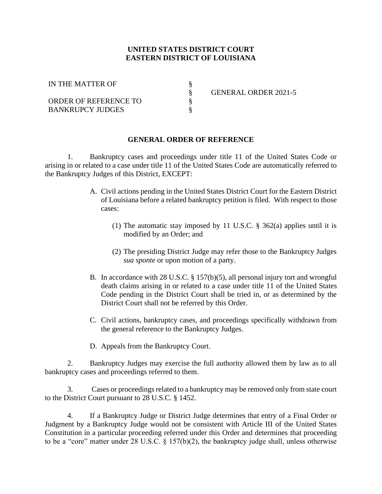## **UNITED STATES DISTRICT COURT EASTERN DISTRICT OF LOUISIANA**

§

§

§

IN THE MATTER OF

ORDER OF REFERENCE TO BANKRUPCY JUDGES

§ GENERAL ORDER 2021-5

## **GENERAL ORDER OF REFERENCE**

1. Bankruptcy cases and proceedings under title 11 of the United States Code or arising in or related to a case under title 11 of the United States Code are automatically referred to the Bankruptcy Judges of this District, EXCEPT:

- A. Civil actions pending in the United States District Court for the Eastern District of Louisiana before a related bankruptcy petition is filed. With respect to those cases:
	- (1) The automatic stay imposed by 11 U.S.C. § 362(a) applies until it is modified by an Order; and
	- (2) The presiding District Judge may refer those to the Bankruptcy Judges *sua sponte* or upon motion of a party.
- B. In accordance with 28 U.S.C. § 157(b)(5), all personal injury tort and wrongful death claims arising in or related to a case under title 11 of the United States Code pending in the District Court shall be tried in, or as determined by the District Court shall not be referred by this Order.
- C. Civil actions, bankruptcy cases, and proceedings specifically withdrawn from the general reference to the Bankruptcy Judges.
- D. Appeals from the Bankruptcy Court.

2. Bankruptcy Judges may exercise the full authority allowed them by law as to all bankruptcy cases and proceedings referred to them.

3. Cases or proceedings related to a bankruptcy may be removed only from state court to the District Court pursuant to 28 U.S.C. § 1452.

4. If a Bankruptcy Judge or District Judge determines that entry of a Final Order or Judgment by a Bankruptcy Judge would not be consistent with Article III of the United States Constitution in a particular proceeding referred under this Order and determines that proceeding to be a "core" matter under 28 U.S.C. § 157(b)(2), the bankruptcy judge shall, unless otherwise